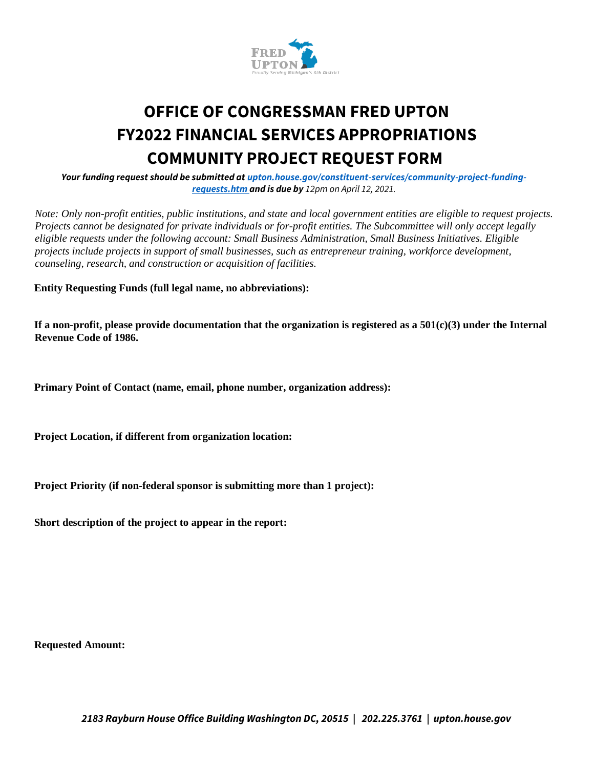

## **OFFICE OF CONGRESSMAN FRED UPTON FY2022 FINANCIAL SERVICES APPROPRIATIONS COMMUNITY PROJECT REQUEST FORM**

*Your funding request should be submitted at upton.house.gov/constituent-services/community-project-fundingrequests.htm and is due by 12pm on April 12, 2021.*

*Note: Only non-profit entities, public institutions, and state and local government entities are eligible to request projects. Projects cannot be designated for private individuals or for-profit entities. The Subcommittee will only accept legally eligible requests under the following account: Small Business Administration, Small Business Initiatives. Eligible projects include projects in support of small businesses, such as entrepreneur training, workforce development, counseling, research, and construction or acquisition of facilities.* 

**Entity Requesting Funds (full legal name, no abbreviations):** 

**If a non-profit, please provide documentation that the organization is registered as a 501(c)(3) under the Internal Revenue Code of 1986.** 

**Primary Point of Contact (name, email, phone number, organization address):** 

**Project Location, if different from organization location:** 

**Project Priority (if non-federal sponsor is submitting more than 1 project):** 

**Short description of the project to appear in the report:** 

**Requested Amount:**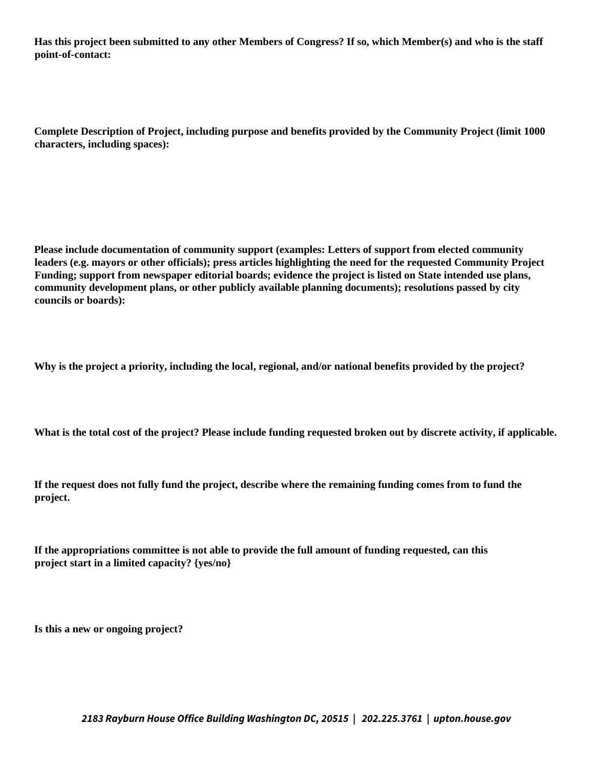**Has this project been submitted to any other Members of Congress? If so, which Member(s) and who is the staff point-of-contact:** 

**Complete Description of Project, including purpose and benefits provided by the Community Project (limit 1000 characters, including spaces):** 

**Please include documentation of community support (examples: Letters of support from elected community leaders (e.g. mayors or other officials); press articles highlighting the need for the requested Community Project Funding; support from newspaper editorial boards; evidence the project is listed on State intended use plans, community development plans, or other publicly available planning documents); resolutions passed by city councils or boards):** 

**Why is the project a priority, including the local, regional, and/or national benefits provided by the project?** 

**What is the total cost of the project? Please include funding requested broken out by discrete activity, if applicable.** 

**If the request does not fully fund the project, describe where the remaining funding comes from to fund the project.** 

**If the appropriations committee is not able to provide the full amount of funding requested, can this project start in a limited capacity? {yes/no}** 

**Is this a new or ongoing project?**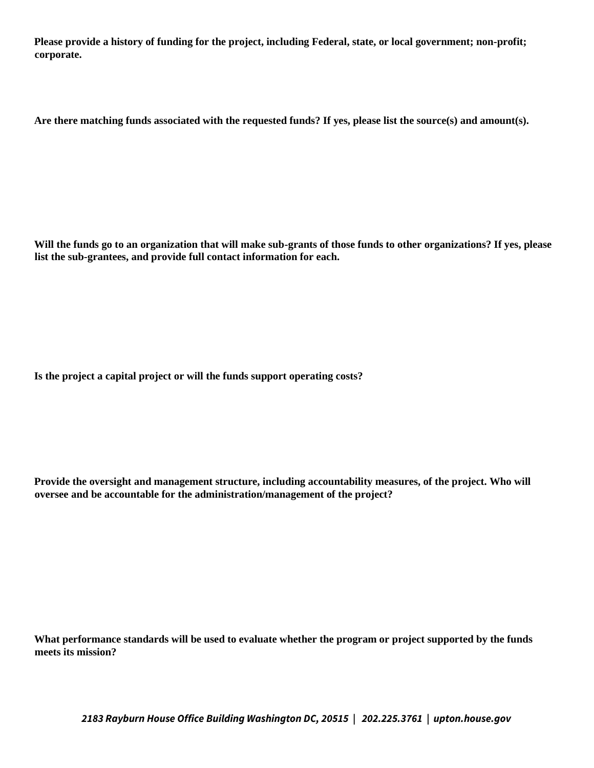**Please provide a history of funding for the project, including Federal, state, or local government; non-profit; corporate.** 

**Are there matching funds associated with the requested funds? If yes, please list the source(s) and amount(s).** 

**Will the funds go to an organization that will make sub-grants of those funds to other organizations? If yes, please list the sub-grantees, and provide full contact information for each.** 

**Is the project a capital project or will the funds support operating costs?** 

**Provide the oversight and management structure, including accountability measures, of the project. Who will oversee and be accountable for the administration/management of the project?** 

**What performance standards will be used to evaluate whether the program or project supported by the funds meets its mission?** 

*2183 Rayburn House Office Building Washington DC, 20515 | 202.225.3761 | upton.house.gov*